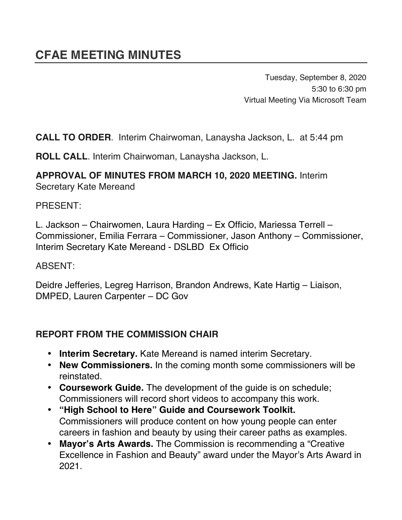Tuesday, September 8, 2020 5:30 to 6:30 pm Virtual Meeting Via Microsoft Team

**CALL TO ORDER**. Interim Chairwoman, Lanaysha Jackson, L. at 5:44 pm

**ROLL CALL**. Interim Chairwoman, Lanaysha Jackson, L.

# **APPROVAL OF MINUTES FROM MARCH 10, 2020 MEETING.** Interim

Secretary Kate Mereand

PRESENT:

L. Jackson – Chairwomen, Laura Harding – Ex Officio, Mariessa Terrell – Commissioner, Emilia Ferrara – Commissioner, Jason Anthony – Commissioner, Interim Secretary Kate Mereand - DSLBD Ex Officio

ABSENT:

Deidre Jefferies, Legreg Harrison, Brandon Andrews, Kate Hartig – Liaison, DMPED, Lauren Carpenter – DC Gov

#### **REPORT FROM THE COMMISSION CHAIR**

- **Interim Secretary.** Kate Mereand is named interim Secretary.
- **New Commissioners.** In the coming month some commissioners will be reinstated.
- **Coursework Guide.** The development of the guide is on schedule; Commissioners will record short videos to accompany this work.
- **"High School to Here" Guide and Coursework Toolkit.** Commissioners will produce content on how young people can enter careers in fashion and beauty by using their career paths as examples.
- **Mayor's Arts Awards.** The Commission is recommending a "Creative Excellence in Fashion and Beauty" award under the Mayor's Arts Award in 2021.